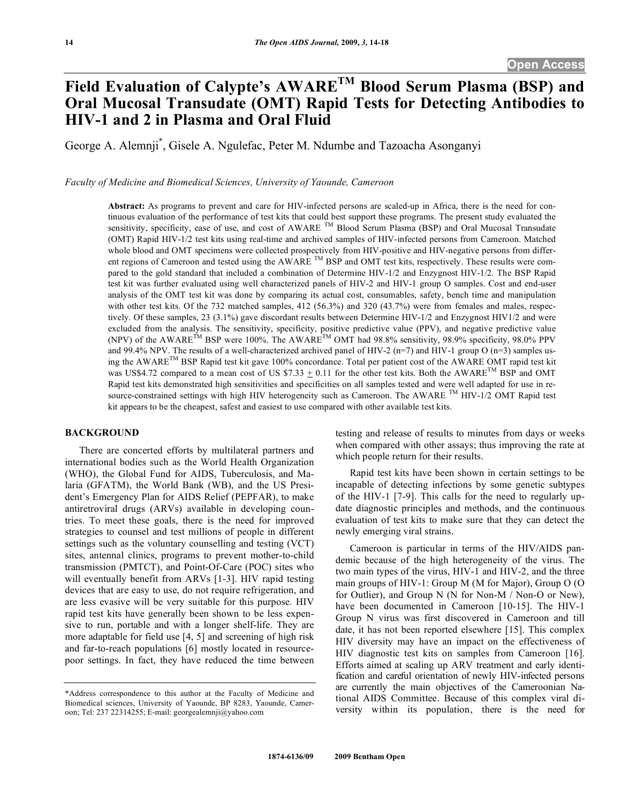# **Field Evaluation of Calypte's AWARETM Blood Serum Plasma (BSP) and Oral Mucosal Transudate (OMT) Rapid Tests for Detecting Antibodies to HIV-1 and 2 in Plasma and Oral Fluid**

George A. Alemnji\* , Gisele A. Ngulefac, Peter M. Ndumbe and Tazoacha Asonganyi

*Faculty of Medicine and Biomedical Sciences, University of Yaounde, Cameroon* 

**Abstract:** As programs to prevent and care for HIV-infected persons are scaled-up in Africa, there is the need for continuous evaluation of the performance of test kits that could best support these programs. The present study evaluated the sensitivity, specificity, ease of use, and cost of AWARE <sup>TM</sup> Blood Serum Plasma (BSP) and Oral Mucosal Transudate (OMT) Rapid HIV-1/2 test kits using real-time and archived samples of HIV-infected persons from Cameroon. Matched whole blood and OMT specimens were collected prospectively from HIV-positive and HIV-negative persons from different regions of Cameroon and tested using the AWARE<sup>TM</sup> BSP and OMT test kits, respectively. These results were compared to the gold standard that included a combination of Determine HIV-1/2 and Enzygnost HIV-1/2. The BSP Rapid test kit was further evaluated using well characterized panels of HIV-2 and HIV-1 group O samples. Cost and end-user analysis of the OMT test kit was done by comparing its actual cost, consumables, safety, bench time and manipulation with other test kits. Of the 732 matched samples, 412 (56.3%) and 320 (43.7%) were from females and males, respectively. Of these samples, 23 (3.1%) gave discordant results between Determine HIV-1/2 and Enzygnost HIV1/2 and were excluded from the analysis. The sensitivity, specificity, positive predictive value (PPV), and negative predictive value (NPV) of the AWARE<sup>TM</sup> BSP were 100%. The AWARE<sup>TM</sup> OMT had 98.8% sensitivity, 98.9% specificity, 98.0% PPV and 99.4% NPV. The results of a well-characterized archived panel of HIV-2 (n=7) and HIV-1 group O (n=3) samples using the AWARETM BSP Rapid test kit gave 100% concordance. Total per patient cost of the AWARE OMT rapid test kit was US\$4.72 compared to a mean cost of US \$7.33  $\pm$  0.11 for the other test kits. Both the AWARE<sup>TM</sup> BSP and OMT Rapid test kits demonstrated high sensitivities and specificities on all samples tested and were well adapted for use in resource-constrained settings with high HIV heterogeneity such as Cameroon. The AWARE <sup>TM</sup> HIV-1/2 OMT Rapid test kit appears to be the cheapest, safest and easiest to use compared with other available test kits.

#### **BACKGROUND**

 There are concerted efforts by multilateral partners and international bodies such as the World Health Organization (WHO), the Global Fund for AIDS, Tuberculosis, and Malaria (GFATM), the World Bank (WB), and the US President's Emergency Plan for AIDS Relief (PEPFAR), to make antiretroviral drugs (ARVs) available in developing countries. To meet these goals, there is the need for improved strategies to counsel and test millions of people in different settings such as the voluntary counselling and testing (VCT) sites, antennal clinics, programs to prevent mother-to-child transmission (PMTCT), and Point-Of-Care (POC) sites who will eventually benefit from ARVs [1-3]. HIV rapid testing devices that are easy to use, do not require refrigeration, and are less evasive will be very suitable for this purpose. HIV rapid test kits have generally been shown to be less expensive to run, portable and with a longer shelf-life. They are more adaptable for field use [4, 5] and screening of high risk and far-to-reach populations [6] mostly located in resourcepoor settings. In fact, they have reduced the time between testing and release of results to minutes from days or weeks when compared with other assays; thus improving the rate at which people return for their results.

 Rapid test kits have been shown in certain settings to be incapable of detecting infections by some genetic subtypes of the HIV-1 [7-9]. This calls for the need to regularly update diagnostic principles and methods, and the continuous evaluation of test kits to make sure that they can detect the newly emerging viral strains.

 Cameroon is particular in terms of the HIV/AIDS pandemic because of the high heterogeneity of the virus. The two main types of the virus, HIV-1 and HIV-2, and the three main groups of HIV-1: Group M (M for Major), Group O (O for Outlier), and Group N (N for Non-M / Non-O or New), have been documented in Cameroon [10-15]. The HIV-1 Group N virus was first discovered in Cameroon and till date, it has not been reported elsewhere [15]. This complex HIV diversity may have an impact on the effectiveness of HIV diagnostic test kits on samples from Cameroon [16]. Efforts aimed at scaling up ARV treatment and early identification and careful orientation of newly HIV-infected persons are currently the main objectives of the Cameroonian National AIDS Committee. Because of this complex viral diversity within its population, there is the need for

<sup>\*</sup>Address correspondence to this author at the Faculty of Medicine and Biomedical sciences, University of Yaounde, BP 8283, Yaounde, Cameroon; Tel: 237 22314255; E-mail: georgealemnji@yahoo.com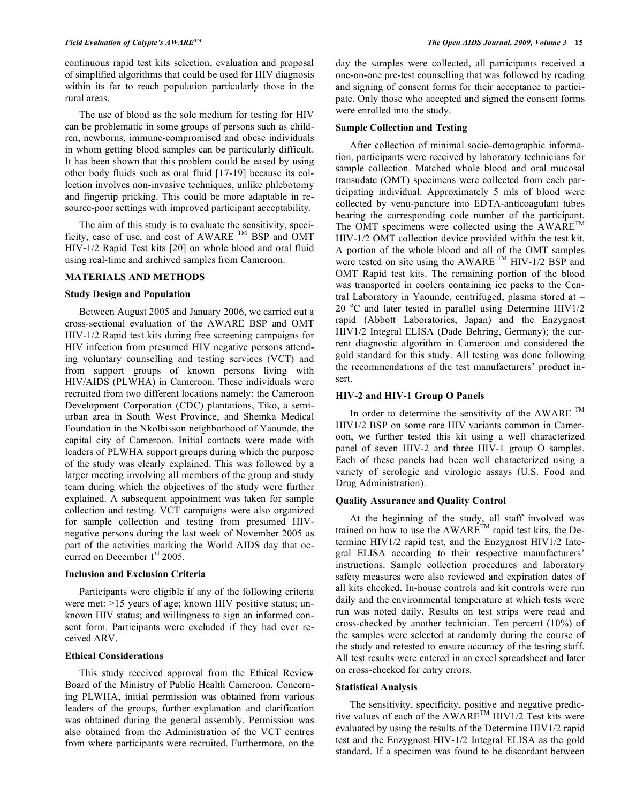continuous rapid test kits selection, evaluation and proposal of simplified algorithms that could be used for HIV diagnosis within its far to reach population particularly those in the rural areas.

 The use of blood as the sole medium for testing for HIV can be problematic in some groups of persons such as children, newborns, immune-compromised and obese individuals in whom getting blood samples can be particularly difficult. It has been shown that this problem could be eased by using other body fluids such as oral fluid [17-19] because its collection involves non-invasive techniques, unlike phlebotomy and fingertip pricking. This could be more adaptable in resource-poor settings with improved participant acceptability.

 The aim of this study is to evaluate the sensitivity, specificity, ease of use, and cost of AWARE  $<sup>TM</sup>$  BSP and OMT</sup> HIV-1/2 Rapid Test kits [20] on whole blood and oral fluid using real-time and archived samples from Cameroon.

## **MATERIALS AND METHODS**

## **Study Design and Population**

 Between August 2005 and January 2006, we carried out a cross-sectional evaluation of the AWARE BSP and OMT HIV-1/2 Rapid test kits during free screening campaigns for HIV infection from presumed HIV negative persons attending voluntary counselling and testing services (VCT) and from support groups of known persons living with HIV/AIDS (PLWHA) in Cameroon. These individuals were recruited from two different locations namely: the Cameroon Development Corporation (CDC) plantations, Tiko, a semiurban area in South West Province, and Shemka Medical Foundation in the Nkolbisson neighborhood of Yaounde, the capital city of Cameroon. Initial contacts were made with leaders of PLWHA support groups during which the purpose of the study was clearly explained. This was followed by a larger meeting involving all members of the group and study team during which the objectives of the study were further explained. A subsequent appointment was taken for sample collection and testing. VCT campaigns were also organized for sample collection and testing from presumed HIVnegative persons during the last week of November 2005 as part of the activities marking the World AIDS day that occurred on December 1<sup>st</sup> 2005.

## **Inclusion and Exclusion Criteria**

 Participants were eligible if any of the following criteria were met: >15 years of age; known HIV positive status; unknown HIV status; and willingness to sign an informed consent form. Participants were excluded if they had ever received ARV.

## **Ethical Considerations**

 This study received approval from the Ethical Review Board of the Ministry of Public Health Cameroon. Concerning PLWHA, initial permission was obtained from various leaders of the groups, further explanation and clarification was obtained during the general assembly. Permission was also obtained from the Administration of the VCT centres from where participants were recruited. Furthermore, on the

day the samples were collected, all participants received a one-on-one pre-test counselling that was followed by reading and signing of consent forms for their acceptance to participate. Only those who accepted and signed the consent forms were enrolled into the study.

## **Sample Collection and Testing**

 After collection of minimal socio-demographic information, participants were received by laboratory technicians for sample collection. Matched whole blood and oral mucosal transudate (OMT) specimens were collected from each participating individual. Approximately 5 mls of blood were collected by venu-puncture into EDTA-anticoagulant tubes bearing the corresponding code number of the participant. The OMT specimens were collected using the  $AWARE^{TM}$ HIV-1/2 OMT collection device provided within the test kit. A portion of the whole blood and all of the OMT samples were tested on site using the AWARE<sup>™</sup> HIV-1/2 BSP and OMT Rapid test kits. The remaining portion of the blood was transported in coolers containing ice packs to the Central Laboratory in Yaounde, centrifuged, plasma stored at – 20 °C and later tested in parallel using Determine HIV1/2 rapid (Abbott Laboratories, Japan) and the Enzygnost HIV1/2 Integral ELISA (Dade Behring, Germany); the current diagnostic algorithm in Cameroon and considered the gold standard for this study. All testing was done following the recommendations of the test manufacturers' product insert.

## **HIV-2 and HIV-1 Group O Panels**

In order to determine the sensitivity of the AWARE  $^{TM}$ HIV1/2 BSP on some rare HIV variants common in Cameroon, we further tested this kit using a well characterized panel of seven HIV-2 and three HIV-1 group O samples. Each of these panels had been well characterized using a variety of serologic and virologic assays (U.S. Food and Drug Administration).

### **Quality Assurance and Quality Control**

 At the beginning of the study, all staff involved was trained on how to use the AWARE<sup>TM</sup> rapid test kits, the Determine HIV1/2 rapid test, and the Enzygnost HIV1/2 Integral ELISA according to their respective manufacturers' instructions. Sample collection procedures and laboratory safety measures were also reviewed and expiration dates of all kits checked. In-house controls and kit controls were run daily and the environmental temperature at which tests were run was noted daily. Results on test strips were read and cross-checked by another technician. Ten percent (10%) of the samples were selected at randomly during the course of the study and retested to ensure accuracy of the testing staff. All test results were entered in an excel spreadsheet and later on cross-checked for entry errors.

#### **Statistical Analysis**

 The sensitivity, specificity, positive and negative predictive values of each of the AWARETM HIV1/2 Test kits were evaluated by using the results of the Determine HIV1/2 rapid test and the Enzygnost HIV-1/2 Integral ELISA as the gold standard. If a specimen was found to be discordant between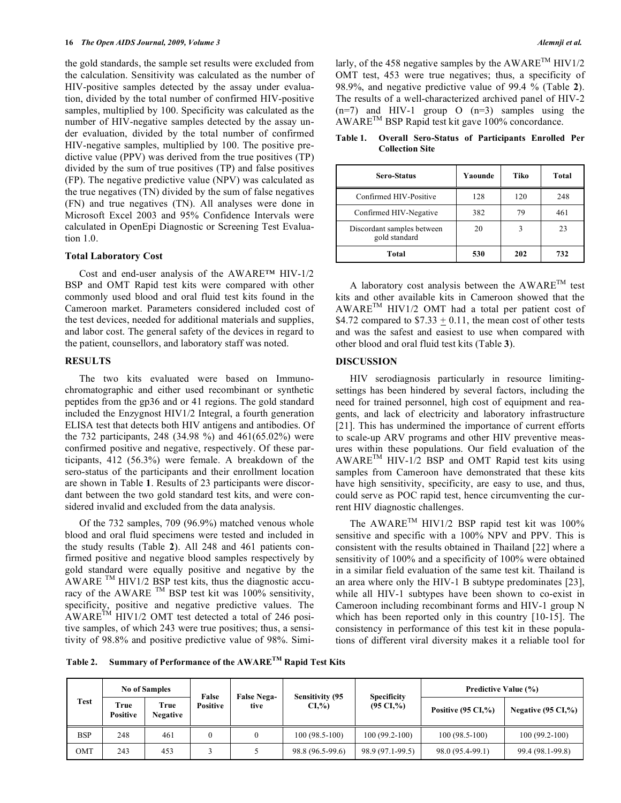the gold standards, the sample set results were excluded from the calculation. Sensitivity was calculated as the number of HIV-positive samples detected by the assay under evaluation, divided by the total number of confirmed HIV-positive samples, multiplied by 100. Specificity was calculated as the number of HIV-negative samples detected by the assay under evaluation, divided by the total number of confirmed HIV-negative samples, multiplied by 100. The positive predictive value (PPV) was derived from the true positives (TP) divided by the sum of true positives (TP) and false positives (FP). The negative predictive value (NPV) was calculated as the true negatives (TN) divided by the sum of false negatives (FN) and true negatives (TN). All analyses were done in Microsoft Excel 2003 and 95% Confidence Intervals were calculated in OpenEpi Diagnostic or Screening Test Evaluation 1.0.

#### **Total Laboratory Cost**

 Cost and end-user analysis of the AWARE™ HIV-1/2 BSP and OMT Rapid test kits were compared with other commonly used blood and oral fluid test kits found in the Cameroon market. Parameters considered included cost of the test devices, needed for additional materials and supplies, and labor cost. The general safety of the devices in regard to the patient, counsellors, and laboratory staff was noted.

#### **RESULTS**

 The two kits evaluated were based on Immunochromatographic and either used recombinant or synthetic peptides from the gp36 and or 41 regions. The gold standard included the Enzygnost HIV1/2 Integral, a fourth generation ELISA test that detects both HIV antigens and antibodies. Of the 732 participants, 248 (34.98 %) and 461(65.02%) were confirmed positive and negative, respectively. Of these participants, 412 (56.3%) were female. A breakdown of the sero-status of the participants and their enrollment location are shown in Table **1**. Results of 23 participants were discordant between the two gold standard test kits, and were considered invalid and excluded from the data analysis.

 Of the 732 samples, 709 (96.9%) matched venous whole blood and oral fluid specimens were tested and included in the study results (Table **2**). All 248 and 461 patients confirmed positive and negative blood samples respectively by gold standard were equally positive and negative by the AWARE  $TM$  HIV1/2 BSP test kits, thus the diagnostic accuracy of the AWARE  $^{TM}$  BSP test kit was 100% sensitivity, specificity, positive and negative predictive values. The  $\widehat{A}$ WARE<sup>TM</sup> HIV1/2 OMT test detected a total of 246 positive samples, of which 243 were true positives; thus, a sensitivity of 98.8% and positive predictive value of 98%. Similarly, of the 458 negative samples by the AWARE<sup>TM</sup> HIV1/2 OMT test, 453 were true negatives; thus, a specificity of 98.9%, and negative predictive value of 99.4 % (Table **2**). The results of a well-characterized archived panel of HIV-2  $(n=7)$  and HIV-1 group O  $(n=3)$  samples using the AWARETM BSP Rapid test kit gave 100% concordance.

**Table 1. Overall Sero-Status of Participants Enrolled Per Collection Site** 

| <b>Sero-Status</b>                          | Yaounde | Tiko | Total |
|---------------------------------------------|---------|------|-------|
| Confirmed HIV-Positive                      | 128     | 120  | 248   |
| Confirmed HIV-Negative                      | 382     | 79   | 461   |
| Discordant samples between<br>gold standard | 20      |      | 23    |
| Total                                       | 530     | 202  | 732   |

A laboratory cost analysis between the  $AWARE^{TM}$  test kits and other available kits in Cameroon showed that the  $AWARE^{TM}$  HIV1/2 OMT had a total per patient cost of \$4.72 compared to  $$7.33 + 0.11$ , the mean cost of other tests and was the safest and easiest to use when compared with other blood and oral fluid test kits (Table **3**).

## **DISCUSSION**

 HIV serodiagnosis particularly in resource limitingsettings has been hindered by several factors, including the need for trained personnel, high cost of equipment and reagents, and lack of electricity and laboratory infrastructure [21]. This has undermined the importance of current efforts to scale-up ARV programs and other HIV preventive measures within these populations. Our field evaluation of the  $AWARE^{TM}$  HIV-1/2 BSP and OMT Rapid test kits using samples from Cameroon have demonstrated that these kits have high sensitivity, specificity, are easy to use, and thus, could serve as POC rapid test, hence circumventing the current HIV diagnostic challenges.

 The AWARETM HIV1/2 BSP rapid test kit was 100% sensitive and specific with a 100% NPV and PPV. This is consistent with the results obtained in Thailand [22] where a sensitivity of 100% and a specificity of 100% were obtained in a similar field evaluation of the same test kit. Thailand is an area where only the HIV-1 B subtype predominates [23], while all HIV-1 subtypes have been shown to co-exist in Cameroon including recombinant forms and HIV-1 group N which has been reported only in this country [10-15]. The consistency in performance of this test kit in these populations of different viral diversity makes it a reliable tool for

**Table 2. Summary of Performance of the AWARETM Rapid Test Kits** 

| Test       | <b>No of Samples</b>    |                         | False           | <b>False Nega-</b> | <b>Sensitivity (95)</b> | <b>Specificity</b>   | <b>Predictive Value (%)</b>   |                               |  |
|------------|-------------------------|-------------------------|-----------------|--------------------|-------------------------|----------------------|-------------------------------|-------------------------------|--|
|            | True<br><b>Positive</b> | True<br><b>Negative</b> | <b>Positive</b> | tive               | $CI,\%$                 | $(95 \text{ CI},\%)$ | Positive $(95 \text{ CI}, %)$ | Negative $(95 \text{ CI},\%)$ |  |
| <b>BSP</b> | 248                     | 461                     |                 |                    | $100(98.5-100)$         | $100(99.2-100)$      | $100(98.5-100)$               | $100(99.2-100)$               |  |
| OMT        | 243                     | 453                     |                 |                    | 98.8 (96.5-99.6)        | 98.9 (97.1-99.5)     | 98.0 (95.4-99.1)              | 99.4 (98.1-99.8)              |  |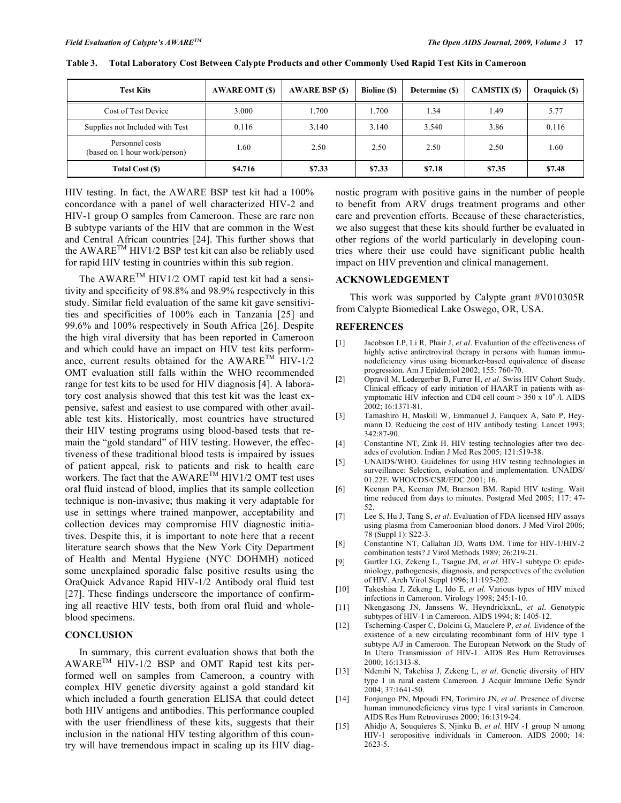| <b>Test Kits</b>                                 | <b>AWARE OMT (\$)</b> | <b>AWARE BSP (\$)</b> | <b>Bioline</b> (\$) | Determine (\$) | <b>CAMSTIX (\$)</b> | Oraquick (\$) |
|--------------------------------------------------|-----------------------|-----------------------|---------------------|----------------|---------------------|---------------|
| Cost of Test Device                              | 3.000                 | 1.700                 | 1.700               | 1.34           | 1.49                | 5.77          |
| Supplies not Included with Test                  | 0.116                 | 3.140                 | 3.140               | 3.540          | 3.86                | 0.116         |
| Personnel costs<br>(based on 1 hour work/person) | l.60                  | 2.50                  | 2.50                | 2.50           | 2.50                | 1.60          |
| Total Cost (\$)                                  | \$4.716               | \$7.33                | \$7.33              | \$7.18         | \$7.35              | \$7.48        |

**Table 3. Total Laboratory Cost Between Calypte Products and other Commonly Used Rapid Test Kits in Cameroon** 

HIV testing. In fact, the AWARE BSP test kit had a 100% concordance with a panel of well characterized HIV-2 and HIV-1 group O samples from Cameroon. These are rare non B subtype variants of the HIV that are common in the West and Central African countries [24]. This further shows that the AWARETM HIV1/2 BSP test kit can also be reliably used for rapid HIV testing in countries within this sub region.

The AWARE™ HIV1/2 OMT rapid test kit had a sensitivity and specificity of 98.8% and 98.9% respectively in this study. Similar field evaluation of the same kit gave sensitivities and specificities of 100% each in Tanzania [25] and 99.6% and 100% respectively in South Africa [26]. Despite the high viral diversity that has been reported in Cameroon and which could have an impact on HIV test kits performance, current results obtained for the AWARE<sup>TM</sup> HIV-1/2 OMT evaluation still falls within the WHO recommended range for test kits to be used for HIV diagnosis [4]. A laboratory cost analysis showed that this test kit was the least expensive, safest and easiest to use compared with other available test kits. Historically, most countries have structured their HIV testing programs using blood-based tests that remain the "gold standard" of HIV testing. However, the effectiveness of these traditional blood tests is impaired by issues of patient appeal, risk to patients and risk to health care workers. The fact that the AWARE<sup>TM</sup> HIV1/2 OMT test uses oral fluid instead of blood, implies that its sample collection technique is non-invasive; thus making it very adaptable for use in settings where trained manpower, acceptability and collection devices may compromise HIV diagnostic initiatives. Despite this, it is important to note here that a recent literature search shows that the New York City Department of Health and Mental Hygiene (NYC DOHMH) noticed some unexplained sporadic false positive results using the OraQuick Advance Rapid HIV-1/2 Antibody oral fluid test [27]. These findings underscore the importance of confirming all reactive HIV tests, both from oral fluid and wholeblood specimens.

## **CONCLUSION**

 In summary, this current evaluation shows that both the AWARETM HIV-1/2 BSP and OMT Rapid test kits performed well on samples from Cameroon, a country with complex HIV genetic diversity against a gold standard kit which included a fourth generation ELISA that could detect both HIV antigens and antibodies. This performance coupled with the user friendliness of these kits, suggests that their inclusion in the national HIV testing algorithm of this country will have tremendous impact in scaling up its HIV diagnostic program with positive gains in the number of people to benefit from ARV drugs treatment programs and other care and prevention efforts. Because of these characteristics, we also suggest that these kits should further be evaluated in other regions of the world particularly in developing countries where their use could have significant public health impact on HIV prevention and clinical management.

## **ACKNOWLEDGEMENT**

 This work was supported by Calypte grant #V010305R from Calypte Biomedical Lake Oswego, OR, USA.

#### **REFERENCES**

- [1] Jacobson LP, Li R, Phair J, *et al*. Evaluation of the effectiveness of highly active antiretroviral therapy in persons with human immunodeficiency virus using biomarker-based equivalence of disease progression. Am J Epidemiol 2002; 155: 760-70.
- [2] Opravil M, Ledergerber B, Furrer H, *et al.* Swiss HIV Cohort Study. Clinical efficacy of early initiation of HAART in patients with asymptomatic HIV infection and CD4 cell count  $> 350 \times 10^6$  /l. AIDS 2002; 16:1371-81.
- [3] Tamashiro H, Maskill W, Emmanuel J, Fauquex A, Sato P, Heymann D. Reducing the cost of HIV antibody testing. Lancet 1993; 342:87-90.
- [4] Constantine NT, Zink H. HIV testing technologies after two decades of evolution. Indian J Med Res 2005; 121:519-38.
- [5] UNAIDS/WHO. Guidelines for using HIV testing technologies in surveillance: Selection, evaluation and implementation. UNAIDS/ 01.22E. WHO/CDS/CSR/EDC 2001; 16.
- [6] Keenan PA, Keenan JM, Branson BM. Rapid HIV testing. Wait time reduced from days to minutes. Postgrad Med 2005; 117: 47- 52.
- [7] Lee S, Hu J, Tang S, *et al*. Evaluation of FDA licensed HIV assays using plasma from Cameroonian blood donors. J Med Virol 2006; 78 (Suppl 1): S22-3.
- [8] Constantine NT, Callahan JD, Watts DM. Time for HIV-1/HIV-2 combination tests? J Virol Methods 1989; 26:219-21.
- [9] Gurtler LG, Zekeng L, Tsague JM, *et al*. HIV-1 subtype O: epidemiology, pathogenesis, diagnosis, and perspectives of the evolution of HIV. Arch Virol Suppl 1996; 11:195-202.
- [10] Takeshisa J, Zekeng L, Ido E, *et al*. Various types of HIV mixed infections in Cameroon. Virology 1998; 245:1-10.
- [11] Nkengasong JN, Janssens W, HeyndrickxnL, *et al*. Genotypic subtypes of HIV-1 in Cameroon. AIDS 1994; 8: 1405-12.
- [12] Tscherning-Casper C, Dolcini G, Mauclere P, *et al*. Evidence of the existence of a new circulating recombinant form of HIV type 1 subtype A/J in Cameroon. The European Network on the Study of In Utero Transmission of HIV-1. AIDS Res Hum Retroviruses 2000; 16:1313-8.
- [13] Ndembi N, Takehisa J, Zekeng L, *et al*. Genetic diversity of HIV type 1 in rural eastern Cameroon. J Acquir Immune Defic Syndr 2004; 37:1641-50.
- [14] Fonjungo PN, Mpoudi EN, Torimiro JN, *et al*. Presence of diverse human immunodeficiency virus type 1 viral variants in Cameroon. AIDS Res Hum Retroviruses 2000; 16:1319-24.
- [15] Ahidjo A, Souquieres S, Njinku B, *et al*. HIV -1 group N among HIV-1 seropositive individuals in Cameroon. AIDS 2000; 14: 2623-5.